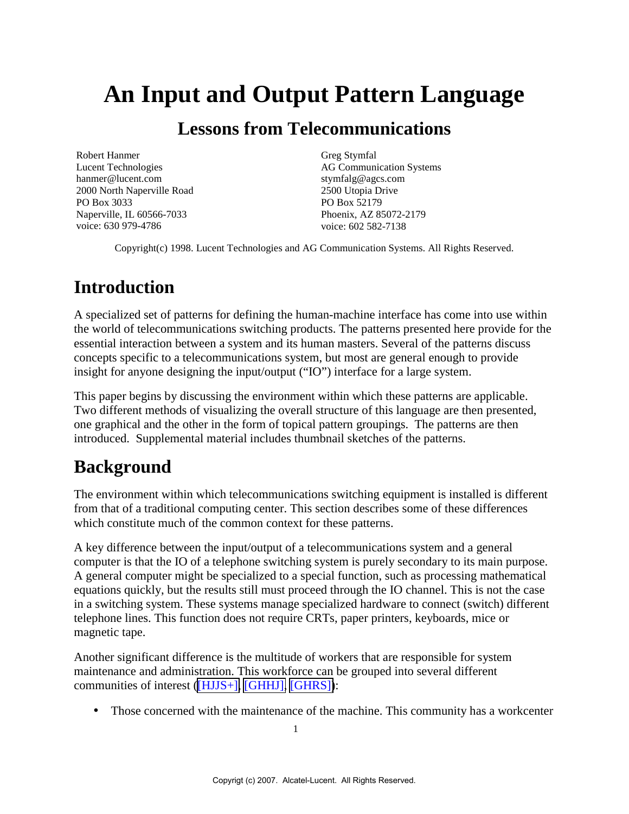# **An Input and Output Pattern Language**

# **Lessons from Telecommunications**

Robert Hanmer Lucent Technologies hanmer@lucent.com 2000 North Naperville Road PO Box 3033 Naperville, IL 60566-7033 voice: 630 979-4786

Greg Stymfal AG Communication Systems stymfalg@agcs.com 2500 Utopia Drive PO Box 52179 Phoenix, AZ 85072-2179 voice: 602 582-7138

Copyright(c) 1998. Lucent Technologies and AG Communication Systems. All Rights Reserved.

# **Introduction**

A specialized set of patterns for defining the human-machine interface has come into use within the world of telecommunications switching products. The patterns presented here provide for the essential interaction between a system and its human masters. Several of the patterns discuss concepts specific to a telecommunications system, but most are general enough to provide insight for anyone designing the input/output ("IO") interface for a large system.

This paper begins by discussing the environment within which these patterns are applicable. Two different methods of visualizing the overall structure of this language are then presented, one graphical and the other in the form of topical pattern groupings. The patterns are then introduced. Supplemental material includes thumbnail sketches of the patterns.

# **Background**

The environment within which telecommunications switching equipment is installed is different from that of a traditional computing center. This section describes some of these differences which constitute much of the common context for these patterns.

A key difference between the input/output of a telecommunications system and a general computer is that the IO of a telephone switching system is purely secondary to its main purpose. A general computer might be specialized to a special function, such as processing mathematical equations quickly, but the results still must proceed through the IO channel. This is not the case in a switching system. These systems manage specialized hardware to connect (switch) different telephone lines. This function does not require CRTs, paper printers, keyboards, mice or magnetic tape.

Another significant difference is the multitude of workers that are responsible for system maintenance and administration. This workforce can be grouped into several different communities of interest [\(\[HJJS+\], \[GHHJ\], \[GHRS\]\)](#page-34-0):

• Those concerned with the maintenance of the machine. This community has a workcenter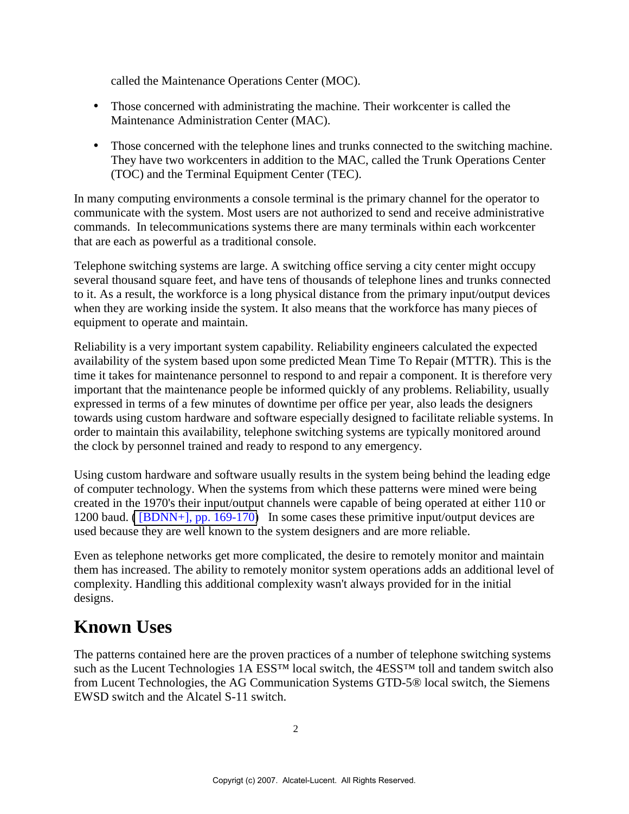called the Maintenance Operations Center (MOC).

- Those concerned with administrating the machine. Their workcenter is called the Maintenance Administration Center (MAC).
- Those concerned with the telephone lines and trunks connected to the switching machine. They have two workcenters in addition to the MAC, called the Trunk Operations Center (TOC) and the Terminal Equipment Center (TEC).

In many computing environments a console terminal is the primary channel for the operator to communicate with the system. Most users are not authorized to send and receive administrative commands. In telecommunications systems there are many terminals within each workcenter that are each as powerful as a traditional console.

Telephone switching systems are large. A switching office serving a city center might occupy several thousand square feet, and have tens of thousands of telephone lines and trunks connected to it. As a result, the workforce is a long physical distance from the primary input/output devices when they are working inside the system. It also means that the workforce has many pieces of equipment to operate and maintain.

Reliability is a very important system capability. Reliability engineers calculated the expected availability of the system based upon some predicted Mean Time To Repair (MTTR). This is the time it takes for maintenance personnel to respond to and repair a component. It is therefore very important that the maintenance people be informed quickly of any problems. Reliability, usually expressed in terms of a few minutes of downtime per office per year, also leads the designers towards using custom hardware and software especially designed to facilitate reliable systems. In order to maintain this availability, telephone switching systems are typically monitored around the clock by personnel trained and ready to respond to any emergency.

Using custom hardware and software usually results in the system being behind the leading edge of computer technology. When the systems from which these patterns were mined were being created in the 1970's their input/output channels were capable of being operated at either 110 or 1200 baud. [\( \[BDNN+\], pp. 169-170\)](#page-4-0) In some cases these primitive input/output devices are used because they are well known to the system designers and are more reliable.

Even as telephone networks get more complicated, the desire to remotely monitor and maintain them has increased. The ability to remotely monitor system operations adds an additional level of complexity. Handling this additional complexity wasn't always provided for in the initial designs.

# **Known Uses**

The patterns contained here are the proven practices of a number of telephone switching systems such as the Lucent Technologies 1A ESS<sup>™</sup> local switch, the 4ESS<sup>™</sup> toll and tandem switch also from Lucent Technologies, the AG Communication Systems GTD-5® local switch, the Siemens EWSD switch and the Alcatel S-11 switch.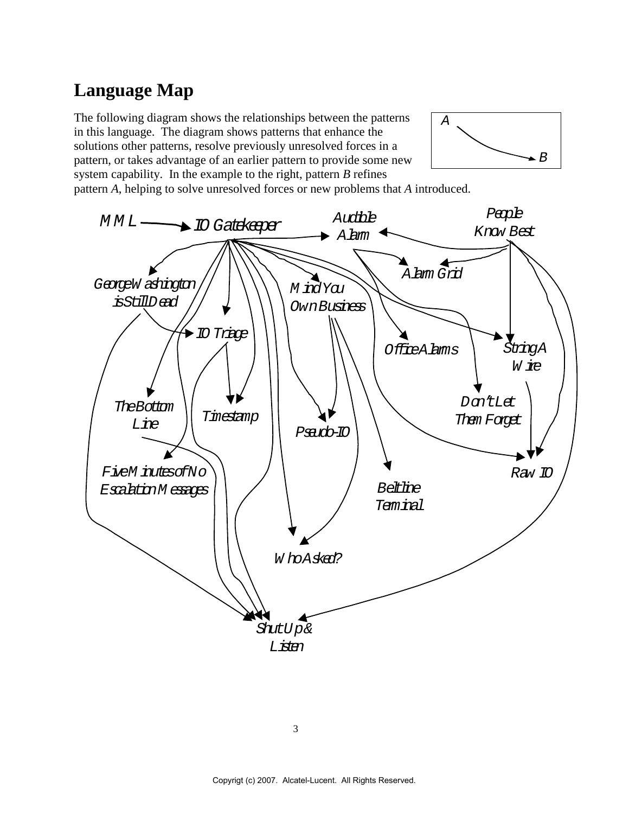# **Language Map**

The following diagram shows the relationships between the patterns in this language. The diagram shows patterns that enhance the solutions other patterns, resolve previously unresolved forces in a pattern, or takes advantage of an earlier pattern to provide some new system capability. In the example to the right, pattern *B* refines



pattern *A*, helping to solve unresolved forces or new problems that *A* introduced.

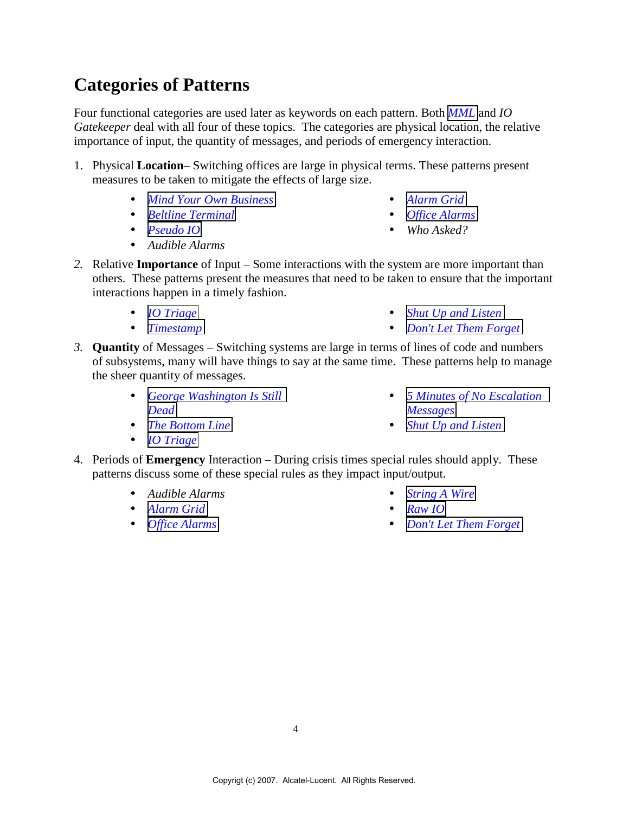# **Categories of Patterns**

Four functional categories are used later as keywords on each pattern. Both *[MML](#page-4-0)* and *IO Gatekeeper* deal with all four of these topics. The categories are physical location, the relative importance of input, the quantity of messages, and periods of emergency interaction.

- 1. Physical **Location** Switching offices are large in physical terms. These patterns present measures to be taken to mitigate the effects of large size.
	- *[Mind Your Own Business](#page-8-0)*
	- *[Beltline Terminal](#page-22-0)*
	- *Pseudo IO*
	- *Audible Alarms*
- *[Alarm Grid](#page-26-0)*
- *[Office Alarms](#page-28-0)*
- *Who Asked?*
- *2.* Relative **Importance** of Input Some interactions with the system are more important than others. These patterns present the measures that need to be taken to ensure that the important interactions happen in a timely fashion.
	- *[IO Triage](#page-10-0)*
	- *[Timestamp](#page-34-0)*
- *[Shut Up and Listen](#page-19-0)*
- *[Don't Let Them Forget](#page-30-0)*
- *3.* **Quantity** of Messages Switching systems are large in terms of lines of code and numbers of subsystems, many will have things to say at the same time. These patterns help to manage the sheer quantity of messages.
	- *[George Washington Is Still](#page-14-0) [Dead](#page-14-0)*
	- *[The Bottom Line](#page-16-0)*
	- *[IO Triage](#page-10-0)*
- *5 Minutes of No Escalation Messages*
- *[Shut Up and Listen](#page-19-0)*
- 4. Periods of **Emergency** Interaction During crisis times special rules should apply. These patterns discuss some of these special rules as they impact input/output.
	- *Audible Alarms*
	- *[Alarm Grid](#page-26-0)*
	- *[Office Alarms](#page-28-0)*
- *[String A Wire](#page-31-0)*
- *[Raw IO](#page-32-0)*
- *[Don't Let Them Forget](#page-30-0)*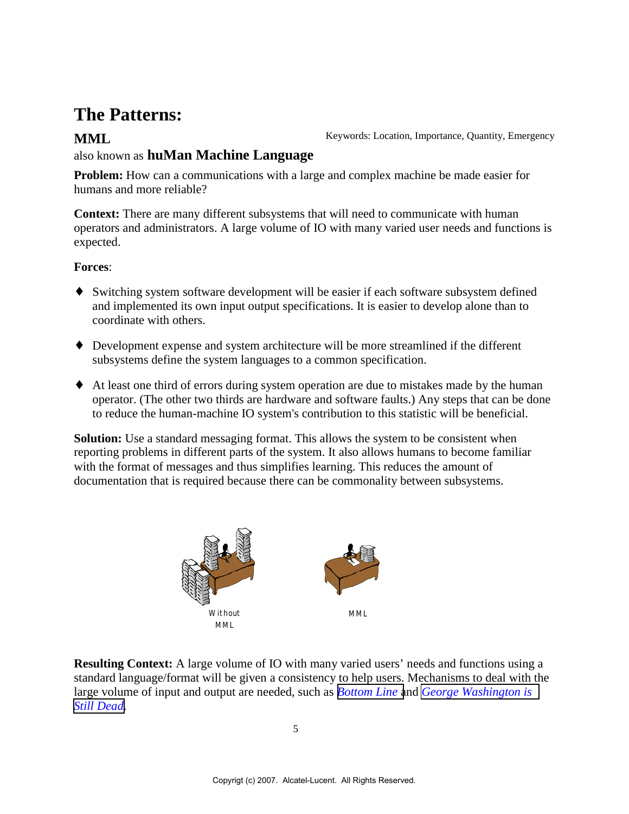# <span id="page-4-0"></span>**The Patterns:**

**MML** Keywords: Location, Importance, Quantity, Emergency

### also known as **huMan Machine Language**

**Problem:** How can a communications with a large and complex machine be made easier for humans and more reliable?

**Context:** There are many different subsystems that will need to communicate with human operators and administrators. A large volume of IO with many varied user needs and functions is expected.

#### **Forces**:

- ♦ Switching system software development will be easier if each software subsystem defined and implemented its own input output specifications. It is easier to develop alone than to coordinate with others.
- ♦ Development expense and system architecture will be more streamlined if the different subsystems define the system languages to a common specification.
- ♦ At least one third of errors during system operation are due to mistakes made by the human operator. (The other two thirds are hardware and software faults.) Any steps that can be done to reduce the human-machine IO system's contribution to this statistic will be beneficial.

**Solution:** Use a standard messaging format. This allows the system to be consistent when reporting problems in different parts of the system. It also allows humans to become familiar with the format of messages and thus simplifies learning. This reduces the amount of documentation that is required because there can be commonality between subsystems.



**Resulting Context:** A large volume of IO with many varied users' needs and functions using a standard language/format will be given a consistency to help users. Mechanisms to deal with the large volume of input and output are needed, such as *[Bottom Line](#page-16-0)* and *[George Washington is](#page-14-0) [Still Dead](#page-14-0)*.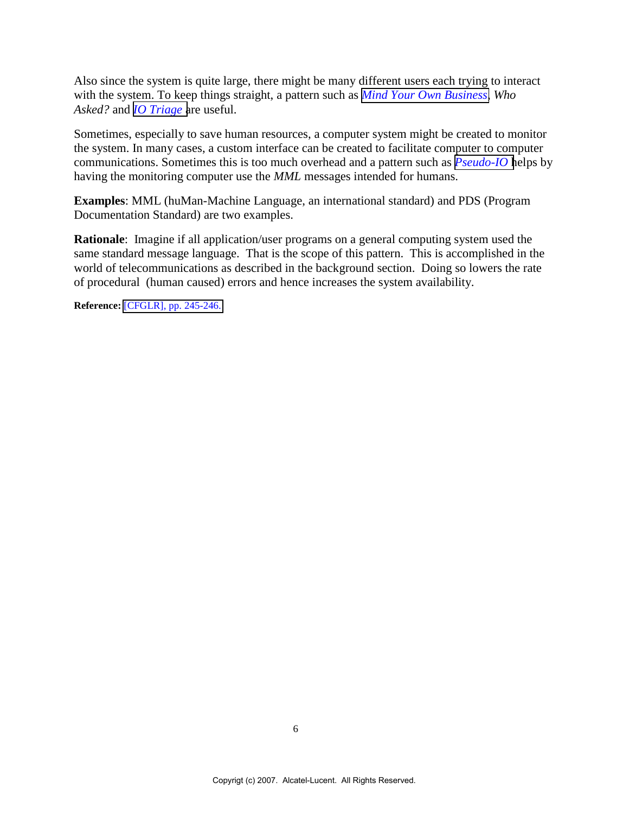Also since the system is quite large, there might be many different users each trying to interact with the system. To keep things straight, a pattern such as *[Mind Your Own Business](#page-8-0)*, *Who Asked?* and *[IO Triage](#page-10-0)* are useful.

Sometimes, especially to save human resources, a computer system might be created to monitor the system. In many cases, a custom interface can be created to facilitate computer to computer communications. Sometimes this is too much overhead and a pattern such as *[Pseudo-IO](#page-21-0)* helps by having the monitoring computer use the *MML* messages intended for humans.

**Examples**: MML (huMan-Machine Language, an international standard) and PDS (Program Documentation Standard) are two examples.

**Rationale**: Imagine if all application/user programs on a general computing system used the same standard message language. That is the scope of this pattern. This is accomplished in the world of telecommunications as described in the background section. Doing so lowers the rate of procedural (human caused) errors and hence increases the system availability.

**Reference:** [\[CFGLR\], pp. 245-246.](#page-34-0)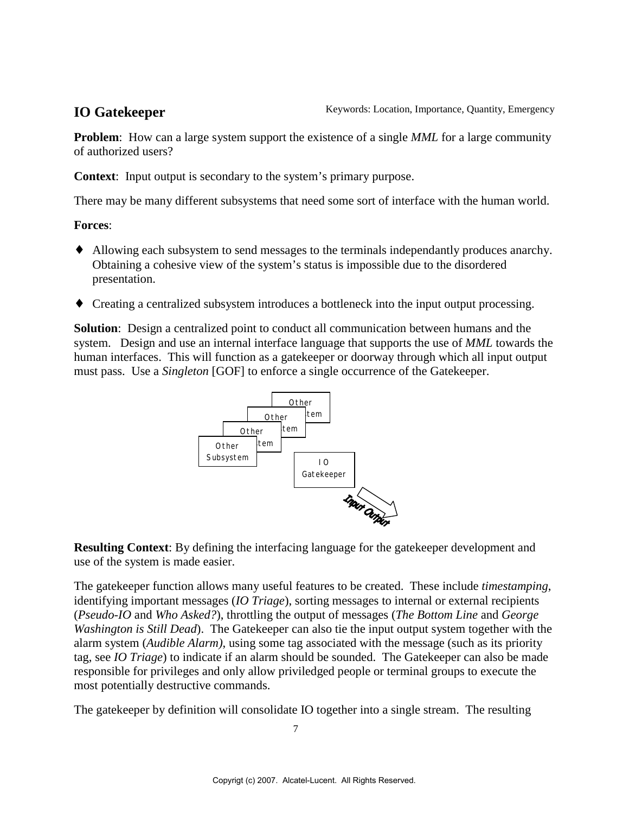**Problem**: How can a large system support the existence of a single *MML* for a large community of authorized users?

**Context**: Input output is secondary to the system's primary purpose.

There may be many different subsystems that need some sort of interface with the human world.

#### **Forces**:

- ♦ Allowing each subsystem to send messages to the terminals independantly produces anarchy. Obtaining a cohesive view of the system's status is impossible due to the disordered presentation.
- ♦ Creating a centralized subsystem introduces a bottleneck into the input output processing.

**Solution**: Design a centralized point to conduct all communication between humans and the system. Design and use an internal interface language that supports the use of *MML* towards the human interfaces. This will function as a gatekeeper or doorway through which all input output must pass. Use a *Singleton* [GOF] to enforce a single occurrence of the Gatekeeper.



**Resulting Context**: By defining the interfacing language for the gatekeeper development and use of the system is made easier.

The gatekeeper function allows many useful features to be created. These include *timestamping*, identifying important messages (*IO Triage*), sorting messages to internal or external recipients (*Pseudo-IO* and *Who Asked?*), throttling the output of messages (*The Bottom Line* and *George Washington is Still Dead*). The Gatekeeper can also tie the input output system together with the alarm system (*Audible Alarm)*, using some tag associated with the message (such as its priority tag, see *IO Triage*) to indicate if an alarm should be sounded. The Gatekeeper can also be made responsible for privileges and only allow priviledged people or terminal groups to execute the most potentially destructive commands.

The gatekeeper by definition will consolidate IO together into a single stream. The resulting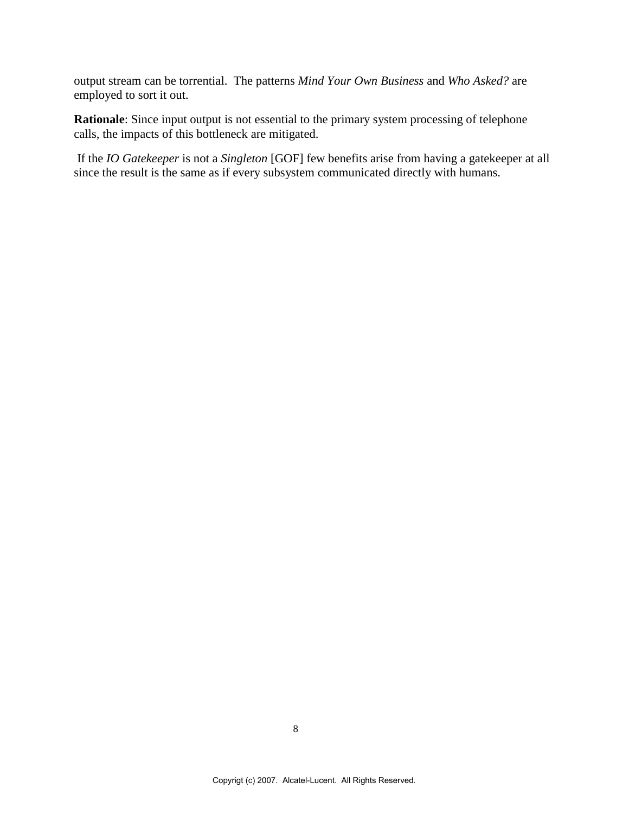output stream can be torrential. The patterns *Mind Your Own Business* and *Who Asked?* are employed to sort it out.

**Rationale**: Since input output is not essential to the primary system processing of telephone calls, the impacts of this bottleneck are mitigated.

 If the *IO Gatekeeper* is not a *Singleton* [GOF] few benefits arise from having a gatekeeper at all since the result is the same as if every subsystem communicated directly with humans.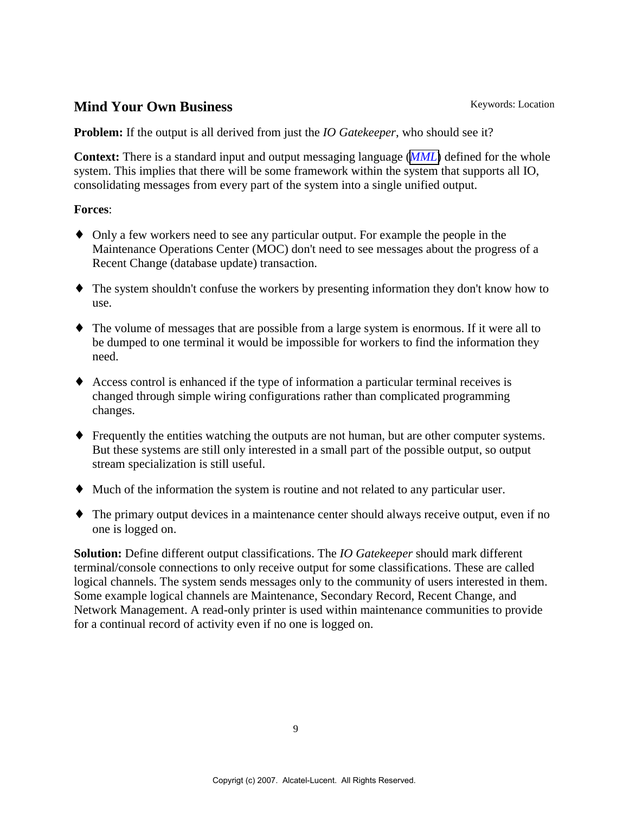### <span id="page-8-0"></span>**Mind Your Own Business** Keywords: Location

**Problem:** If the output is all derived from just the *IO Gatekeeper*, who should see it?

**Context:** There is a standard input and output messaging language (*[MML](#page-4-0)*) defined for the whole system. This implies that there will be some framework within the system that supports all IO, consolidating messages from every part of the system into a single unified output.

#### **Forces**:

- ♦ Only a few workers need to see any particular output. For example the people in the Maintenance Operations Center (MOC) don't need to see messages about the progress of a Recent Change (database update) transaction.
- ♦ The system shouldn't confuse the workers by presenting information they don't know how to use.
- ♦ The volume of messages that are possible from a large system is enormous. If it were all to be dumped to one terminal it would be impossible for workers to find the information they need.
- ♦ Access control is enhanced if the type of information a particular terminal receives is changed through simple wiring configurations rather than complicated programming changes.
- ♦ Frequently the entities watching the outputs are not human, but are other computer systems. But these systems are still only interested in a small part of the possible output, so output stream specialization is still useful.
- ♦ Much of the information the system is routine and not related to any particular user.
- ♦ The primary output devices in a maintenance center should always receive output, even if no one is logged on.

**Solution:** Define different output classifications. The *IO Gatekeeper* should mark different terminal/console connections to only receive output for some classifications. These are called logical channels. The system sends messages only to the community of users interested in them. Some example logical channels are Maintenance, Secondary Record, Recent Change, and Network Management. A read-only printer is used within maintenance communities to provide for a continual record of activity even if no one is logged on.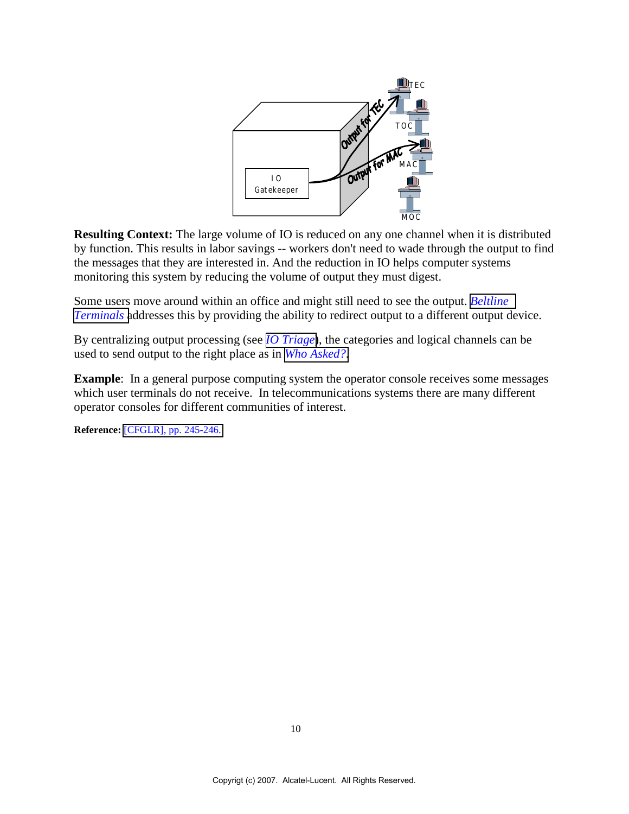

**Resulting Context:** The large volume of IO is reduced on any one channel when it is distributed by function. This results in labor savings -- workers don't need to wade through the output to find the messages that they are interested in. And the reduction in IO helps computer systems monitoring this system by reducing the volume of output they must digest.

Some users move around within an office and might still need to see the output. *[Beltline](#page-22-0) [Terminals](#page-22-0)* addresses this by providing the ability to redirect output to a different output device.

By centralizing output processing (see *[IO Triage](#page-10-0)*), the categories and logical channels can be used to send output to the right place as in *[Who Asked?](#page-13-0)*.

**Example**: In a general purpose computing system the operator console receives some messages which user terminals do not receive. In telecommunications systems there are many different operator consoles for different communities of interest.

**Reference:** [\[CFGLR\], pp. 245-246.](#page-34-0)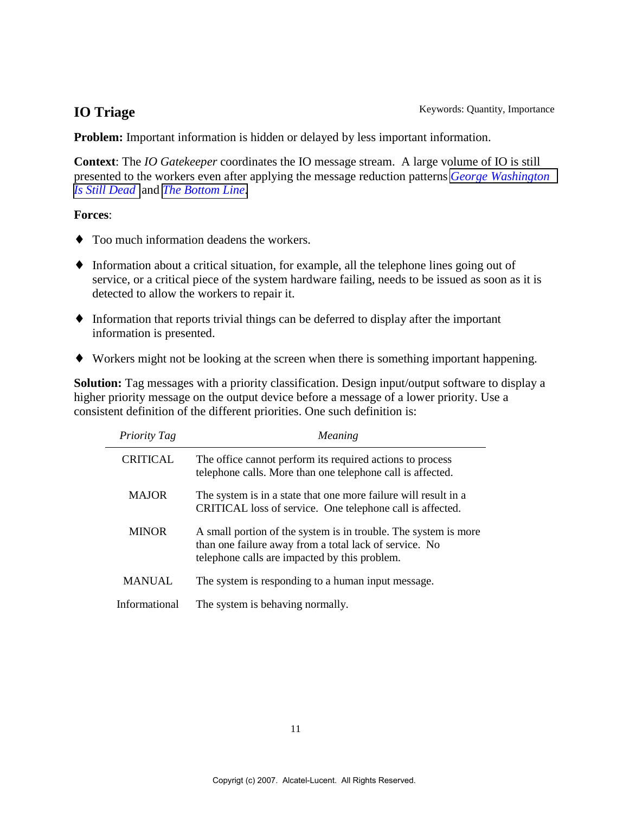<span id="page-10-0"></span>**Problem:** Important information is hidden or delayed by less important information.

**Context**: The *IO Gatekeeper* coordinates the IO message stream. A large volume of IO is still presented to the workers even after applying the message reduction patterns *[George Washington](#page-14-0) [Is Still Dead](#page-14-0)* and *[The Bottom Line](#page-16-0)*.

#### **Forces**:

- ♦ Too much information deadens the workers.
- ♦ Information about a critical situation, for example, all the telephone lines going out of service, or a critical piece of the system hardware failing, needs to be issued as soon as it is detected to allow the workers to repair it.
- ♦ Information that reports trivial things can be deferred to display after the important information is presented.
- ♦ Workers might not be looking at the screen when there is something important happening.

**Solution:** Tag messages with a priority classification. Design input/output software to display a higher priority message on the output device before a message of a lower priority. Use a consistent definition of the different priorities. One such definition is:

| Priority Tag    | Meaning                                                                                                                                                                    |
|-----------------|----------------------------------------------------------------------------------------------------------------------------------------------------------------------------|
| <b>CRITICAL</b> | The office cannot perform its required actions to process<br>telephone calls. More than one telephone call is affected.                                                    |
| <b>MAJOR</b>    | The system is in a state that one more failure will result in a<br>CRITICAL loss of service. One telephone call is affected.                                               |
| <b>MINOR</b>    | A small portion of the system is in trouble. The system is more<br>than one failure away from a total lack of service. No<br>telephone calls are impacted by this problem. |
| <b>MANUAL</b>   | The system is responding to a human input message.                                                                                                                         |
| Informational   | The system is behaving normally.                                                                                                                                           |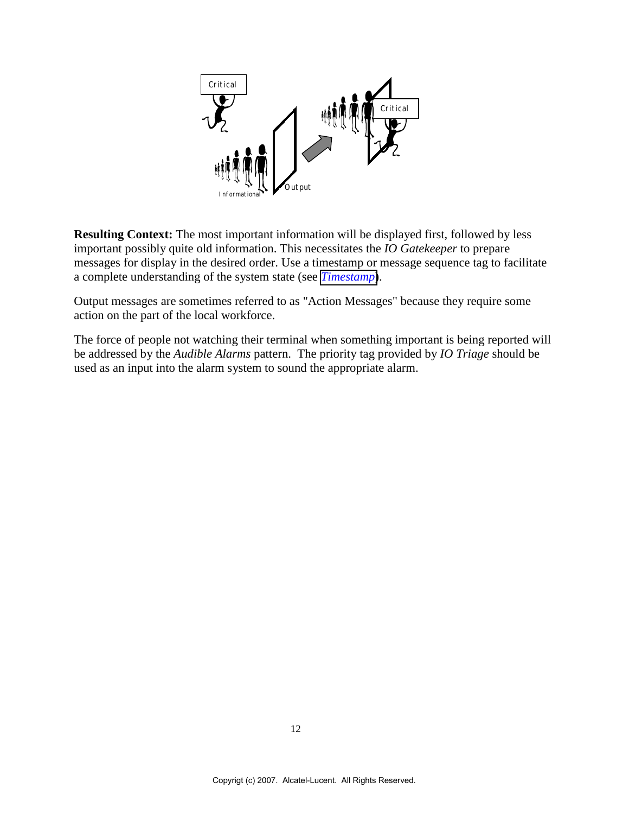

**Resulting Context:** The most important information will be displayed first, followed by less important possibly quite old information. This necessitates the *IO Gatekeeper* to prepare messages for display in the desired order. Use a timestamp or message sequence tag to facilitate a complete understanding of the system state (see *[Timestamp](#page-34-0)*).

Output messages are sometimes referred to as "Action Messages" because they require some action on the part of the local workforce.

The force of people not watching their terminal when something important is being reported will be addressed by the *Audible Alarms* pattern. The priority tag provided by *IO Triage* should be used as an input into the alarm system to sound the appropriate alarm.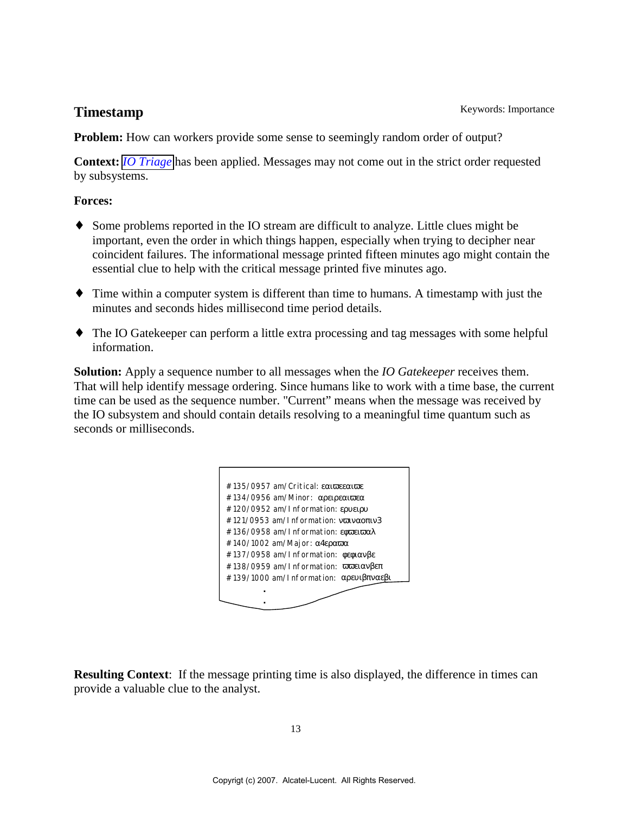**Problem:** How can workers provide some sense to seemingly random order of output?

**Context:** *[IO Triage](#page-10-0)* has been applied. Messages may not come out in the strict order requested by subsystems.

### **Forces:**

- Some problems reported in the IO stream are difficult to analyze. Little clues might be important, even the order in which things happen, especially when trying to decipher near coincident failures. The informational message printed fifteen minutes ago might contain the essential clue to help with the critical message printed five minutes ago.
- ♦ Time within a computer system is different than time to humans. A timestamp with just the minutes and seconds hides millisecond time period details.
- ♦ The IO Gatekeeper can perform a little extra processing and tag messages with some helpful information.

**Solution:** Apply a sequence number to all messages when the *IO Gatekeeper* receives them. That will help identify message ordering. Since humans like to work with a time base, the current time can be used as the sequence number. "Current" means when the message was received by the IO subsystem and should contain details resolving to a meaningful time quantum such as seconds or milliseconds.



**Resulting Context**: If the message printing time is also displayed, the difference in times can provide a valuable clue to the analyst.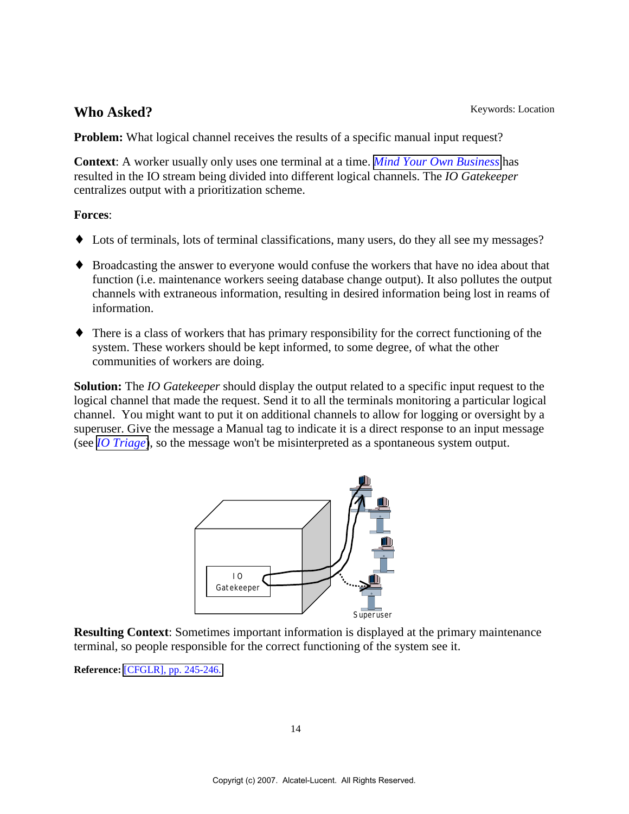## <span id="page-13-0"></span>Who Asked? Keywords: Location

**Problem:** What logical channel receives the results of a specific manual input request?

**Context**: A worker usually only uses one terminal at a time. *[Mind Your Own Business](#page-8-0)* has resulted in the IO stream being divided into different logical channels. The *IO Gatekeeper* centralizes output with a prioritization scheme.

### **Forces**:

- ♦ Lots of terminals, lots of terminal classifications, many users, do they all see my messages?
- ♦ Broadcasting the answer to everyone would confuse the workers that have no idea about that function (i.e. maintenance workers seeing database change output). It also pollutes the output channels with extraneous information, resulting in desired information being lost in reams of information.
- ♦ There is a class of workers that has primary responsibility for the correct functioning of the system. These workers should be kept informed, to some degree, of what the other communities of workers are doing.

**Solution:** The *IO Gatekeeper* should display the output related to a specific input request to the logical channel that made the request. Send it to all the terminals monitoring a particular logical channel. You might want to put it on additional channels to allow for logging or oversight by a superuser. Give the message a Manual tag to indicate it is a direct response to an input message (see *[IO Triage](#page-10-0)*), so the message won't be misinterpreted as a spontaneous system output.



**Resulting Context**: Sometimes important information is displayed at the primary maintenance terminal, so people responsible for the correct functioning of the system see it.

**Reference:** [\[CFGLR\], pp. 245-246.](#page-34-0)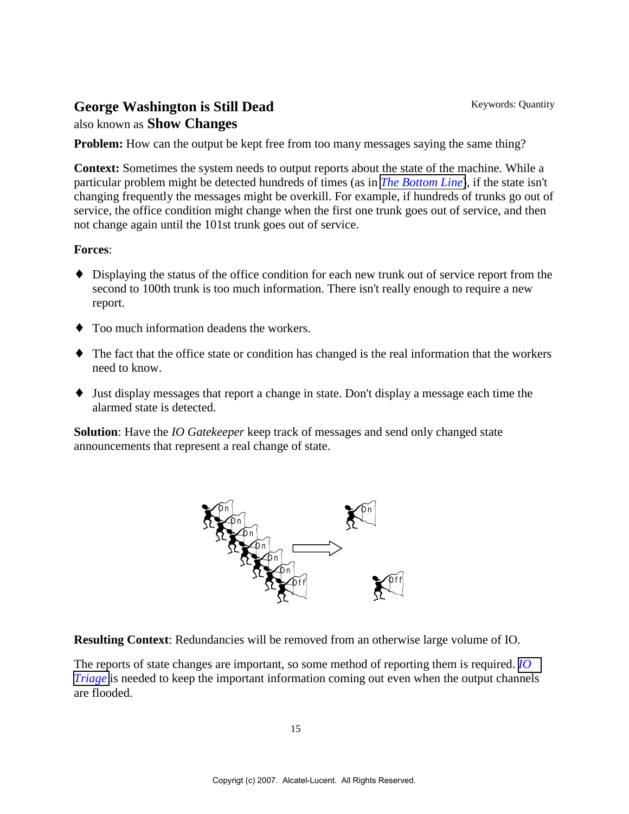## <span id="page-14-0"></span>George Washington is Still Dead Keywords: Quantity

### also known as **Show Changes**

**Problem:** How can the output be kept free from too many messages saying the same thing?

**Context:** Sometimes the system needs to output reports about the state of the machine. While a particular problem might be detected hundreds of times (as in *[The Bottom Line](#page-16-0)*), if the state isn't changing frequently the messages might be overkill. For example, if hundreds of trunks go out of service, the office condition might change when the first one trunk goes out of service, and then not change again until the 101st trunk goes out of service.

#### **Forces**:

- ♦ Displaying the status of the office condition for each new trunk out of service report from the second to 100th trunk is too much information. There isn't really enough to require a new report.
- ♦ Too much information deadens the workers.
- ♦ The fact that the office state or condition has changed is the real information that the workers need to know.
- ♦ Just display messages that report a change in state. Don't display a message each time the alarmed state is detected.

**Solution**: Have the *IO Gatekeeper* keep track of messages and send only changed state announcements that represent a real change of state.



**Resulting Context**: Redundancies will be removed from an otherwise large volume of IO.

The reports of state changes are important, so some method of reporting them is required. *[IO](#page-10-0) [Triage](#page-10-0)* is needed to keep the important information coming out even when the output channels are flooded.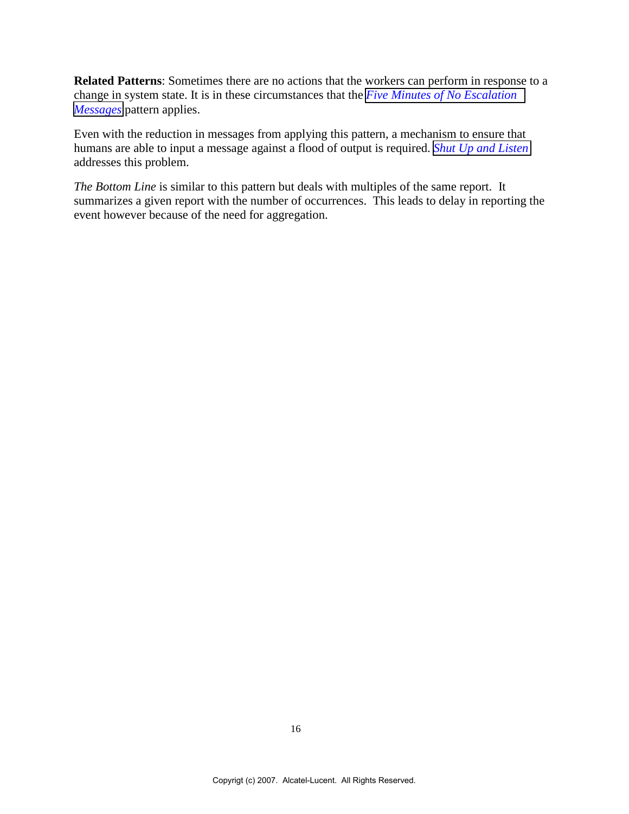**Related Patterns**: Sometimes there are no actions that the workers can perform in response to a change in system state. It is in these circumstances that the *[Five Minutes of No Escalation](#page-16-0) [Messages](#page-16-0)* pattern applies.

Even with the reduction in messages from applying this pattern, a mechanism to ensure that humans are able to input a message against a flood of output is required. *[Shut Up and Listen](#page-19-0)* addresses this problem.

*The Bottom Line* is similar to this pattern but deals with multiples of the same report. It summarizes a given report with the number of occurrences. This leads to delay in reporting the event however because of the need for aggregation.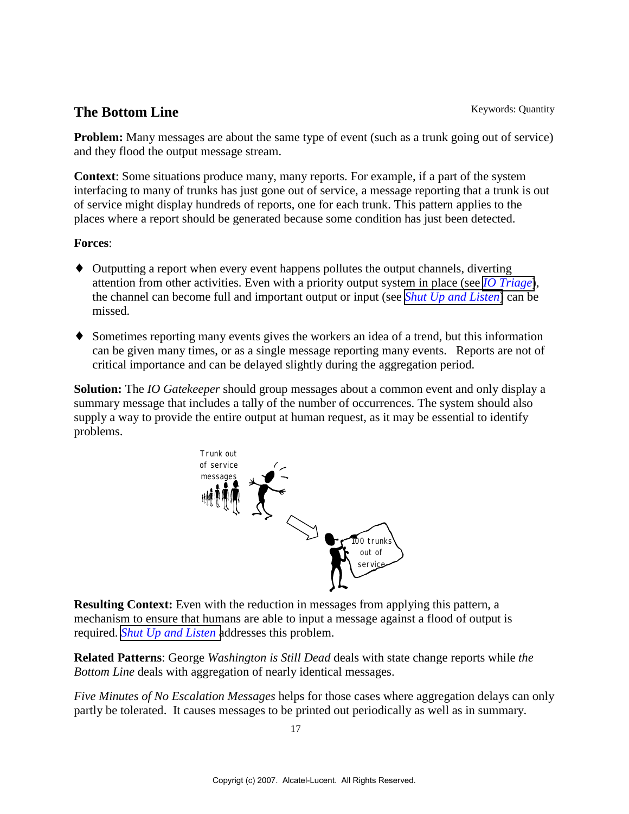## <span id="page-16-0"></span>**The Bottom Line** Keywords: Quantity

**Problem:** Many messages are about the same type of event (such as a trunk going out of service) and they flood the output message stream.

**Context**: Some situations produce many, many reports. For example, if a part of the system interfacing to many of trunks has just gone out of service, a message reporting that a trunk is out of service might display hundreds of reports, one for each trunk. This pattern applies to the places where a report should be generated because some condition has just been detected.

### **Forces**:

- ♦ Outputting a report when every event happens pollutes the output channels, diverting attention from other activities. Even with a priority output system in place (see *[IO Triage](#page-10-0)*), the channel can become full and important output or input (see *[Shut Up and Listen](#page-19-0)*) can be missed.
- ♦ Sometimes reporting many events gives the workers an idea of a trend, but this information can be given many times, or as a single message reporting many events. Reports are not of critical importance and can be delayed slightly during the aggregation period.

**Solution:** The *IO Gatekeeper* should group messages about a common event and only display a summary message that includes a tally of the number of occurrences. The system should also supply a way to provide the entire output at human request, as it may be essential to identify problems.



**Resulting Context:** Even with the reduction in messages from applying this pattern, a mechanism to ensure that humans are able to input a message against a flood of output is required. *[Shut Up and Listen](#page-19-0)* addresses this problem.

**Related Patterns**: George *Washington is Still Dead* deals with state change reports while *the Bottom Line* deals with aggregation of nearly identical messages.

*Five Minutes of No Escalation Messages* helps for those cases where aggregation delays can only partly be tolerated. It causes messages to be printed out periodically as well as in summary.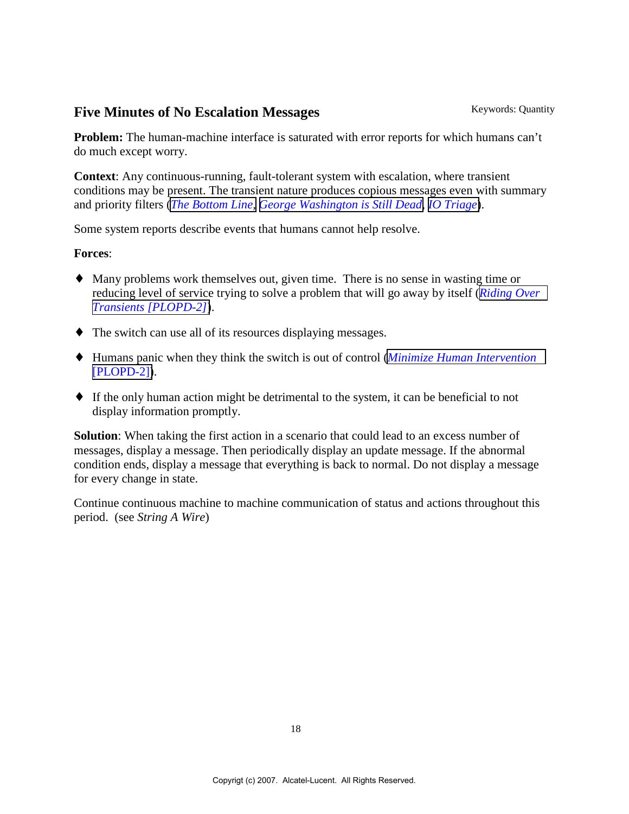## **Five Minutes of No Escalation Messages** Keywords: Quantity

**Problem:** The human-machine interface is saturated with error reports for which humans can't do much except worry.

**Context**: Any continuous-running, fault-tolerant system with escalation, where transient conditions may be present. The transient nature produces copious messages even with summary and priority filters (*[The Bottom Line,](#page-16-0) [George Washington is Still Dead,](#page-14-0) [IO Triage](#page-10-0)*).

Some system reports describe events that humans cannot help resolve.

#### **Forces**:

- ♦ Many problems work themselves out, given time. There is no sense in wasting time or reducing level of service trying to solve a problem that will go away by itself (*[Riding Over](#page-34-0) [Transients \[PLOPD-2\]](#page-34-0)*).
- ♦ The switch can use all of its resources displaying messages.
- ♦ Humans panic when they think the switch is out of control (*[Minimize Human Intervention](#page-34-0)* [\[PLOPD-2\]\)](#page-34-0).
- ♦ If the only human action might be detrimental to the system, it can be beneficial to not display information promptly.

**Solution**: When taking the first action in a scenario that could lead to an excess number of messages, display a message. Then periodically display an update message. If the abnormal condition ends, display a message that everything is back to normal. Do not display a message for every change in state.

Continue continuous machine to machine communication of status and actions throughout this period. (see *String A Wire*)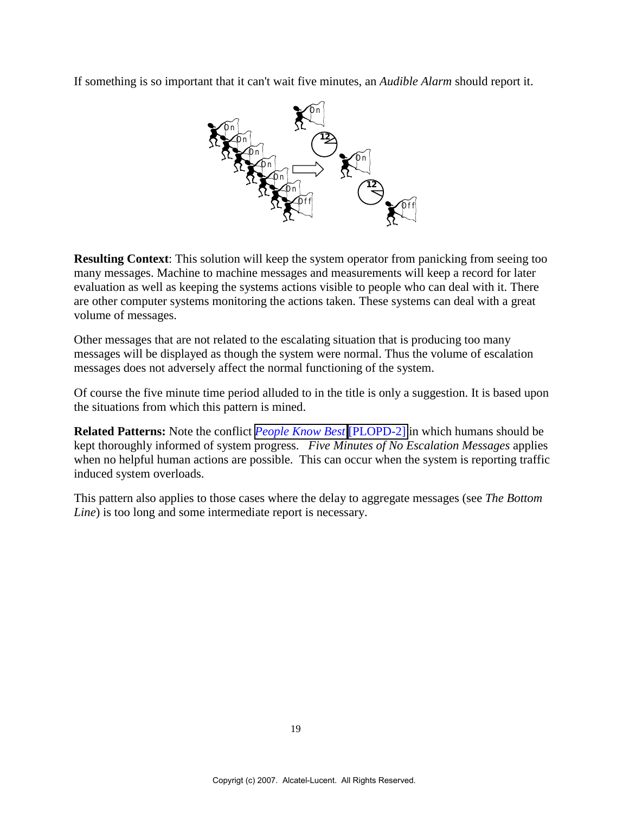If something is so important that it can't wait five minutes, an *Audible Alarm* should report it.



**Resulting Context:** This solution will keep the system operator from panicking from seeing too many messages. Machine to machine messages and measurements will keep a record for later evaluation as well as keeping the systems actions visible to people who can deal with it. There are other computer systems monitoring the actions taken. These systems can deal with a great volume of messages.

Other messages that are not related to the escalating situation that is producing too many messages will be displayed as though the system were normal. Thus the volume of escalation messages does not adversely affect the normal functioning of the system.

Of course the five minute time period alluded to in the title is only a suggestion. It is based upon the situations from which this pattern is mined.

**Related Patterns:** Note the conflict *[People Know Best](#page-34-0)* [\[PLOPD-2\]](#page-34-0) in which humans should be kept thoroughly informed of system progress. *Five Minutes of No Escalation Messages* applies when no helpful human actions are possible. This can occur when the system is reporting traffic induced system overloads.

This pattern also applies to those cases where the delay to aggregate messages (see *The Bottom Line*) is too long and some intermediate report is necessary.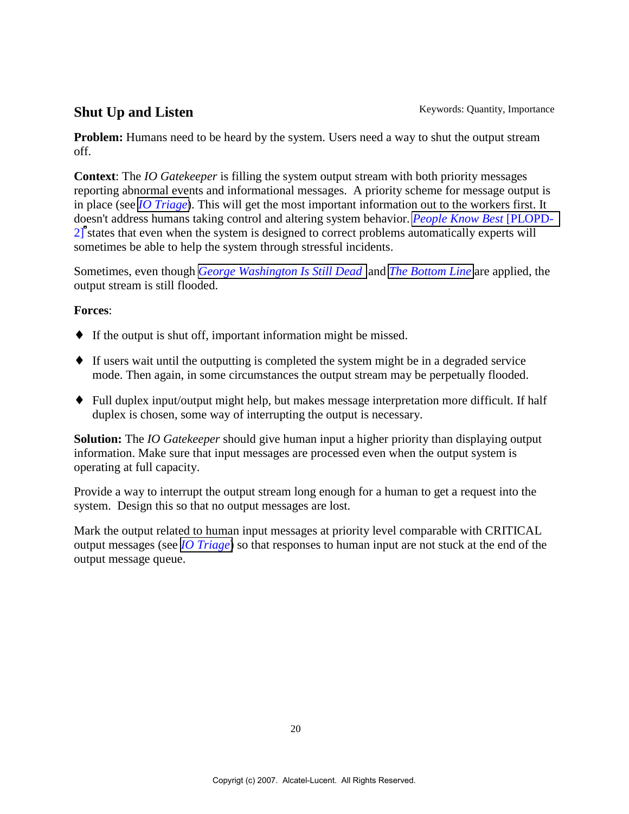## <span id="page-19-0"></span>**Shut Up and Listen** Keywords: Quantity, Importance

**Problem:** Humans need to be heard by the system. Users need a way to shut the output stream off.

**Context**: The *IO Gatekeeper* is filling the system output stream with both priority messages reporting abnormal events and informational messages. A priority scheme for message output is in place (see *[IO Triage](#page-10-0)*). This will get the most important information out to the workers first. It doesn't address humans taking control and altering system behavior. *[People Know Best](#page-14-0)* [PLOPD-2]states that even when the system is designed to correct problems automatically experts will sometimes be able to help the system through stressful incidents.

Sometimes, even though *[George Washington Is Still Dead](#page-14-0)* and *[The Bottom Line](#page-16-0)* are applied, the output stream is still flooded.

#### **Forces**:

- $\bullet$  If the output is shut off, important information might be missed.
- ♦ If users wait until the outputting is completed the system might be in a degraded service mode. Then again, in some circumstances the output stream may be perpetually flooded.
- ♦ Full duplex input/output might help, but makes message interpretation more difficult. If half duplex is chosen, some way of interrupting the output is necessary.

**Solution:** The *IO Gatekeeper* should give human input a higher priority than displaying output information. Make sure that input messages are processed even when the output system is operating at full capacity.

Provide a way to interrupt the output stream long enough for a human to get a request into the system. Design this so that no output messages are lost.

Mark the output related to human input messages at priority level comparable with CRITICAL output messages (see *[IO Triage](#page-10-0)*) so that responses to human input are not stuck at the end of the output message queue.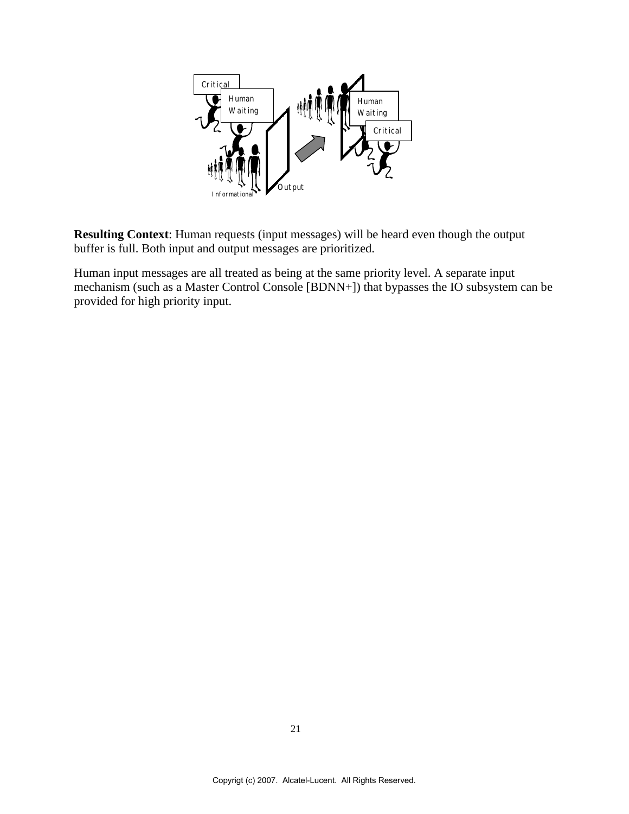

**Resulting Context**: Human requests (input messages) will be heard even though the output buffer is full. Both input and output messages are prioritized.

Human input messages are all treated as being at the same priority level. A separate input mechanism (such as a Master Control Console [BDNN+]) that bypasses the IO subsystem can be provided for high priority input.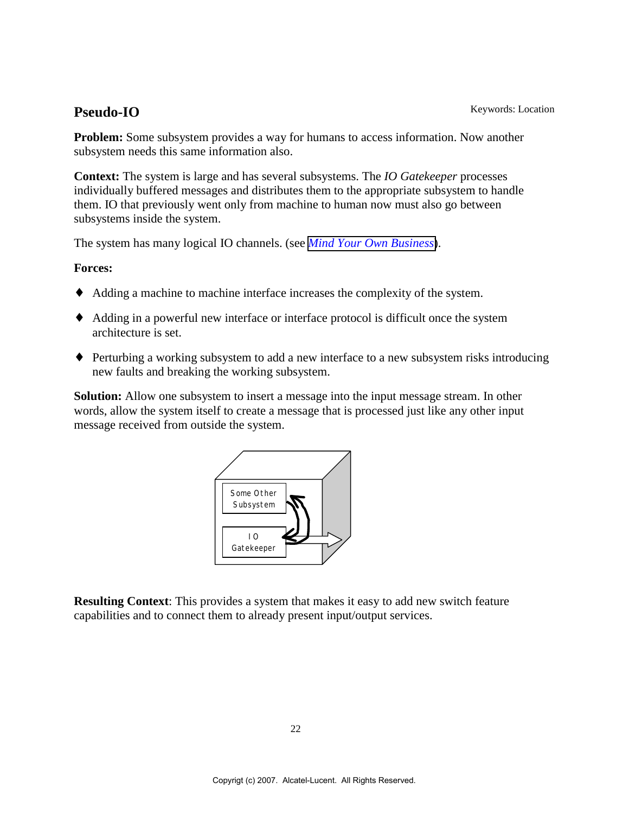<span id="page-21-0"></span>**Problem:** Some subsystem provides a way for humans to access information. Now another subsystem needs this same information also.

**Context:** The system is large and has several subsystems. The *IO Gatekeeper* processes individually buffered messages and distributes them to the appropriate subsystem to handle them. IO that previously went only from machine to human now must also go between subsystems inside the system.

The system has many logical IO channels. (see *[Mind Your Own Business](#page-8-0)*).

#### **Forces:**

- ♦ Adding a machine to machine interface increases the complexity of the system.
- ♦ Adding in a powerful new interface or interface protocol is difficult once the system architecture is set.
- ♦ Perturbing a working subsystem to add a new interface to a new subsystem risks introducing new faults and breaking the working subsystem.

**Solution:** Allow one subsystem to insert a message into the input message stream. In other words, allow the system itself to create a message that is processed just like any other input message received from outside the system.



**Resulting Context**: This provides a system that makes it easy to add new switch feature capabilities and to connect them to already present input/output services.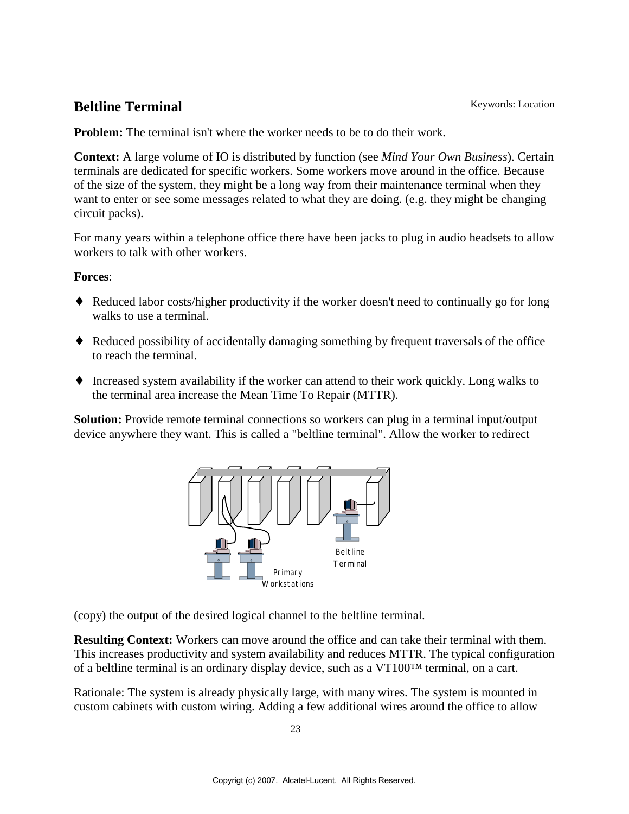## <span id="page-22-0"></span>**Beltline Terminal** Keywords: Location

**Problem:** The terminal isn't where the worker needs to be to do their work.

**Context:** A large volume of IO is distributed by function (see *Mind Your Own Business*). Certain terminals are dedicated for specific workers. Some workers move around in the office. Because of the size of the system, they might be a long way from their maintenance terminal when they want to enter or see some messages related to what they are doing. (e.g. they might be changing circuit packs).

For many years within a telephone office there have been jacks to plug in audio headsets to allow workers to talk with other workers.

#### **Forces**:

- ♦ Reduced labor costs/higher productivity if the worker doesn't need to continually go for long walks to use a terminal.
- ♦ Reduced possibility of accidentally damaging something by frequent traversals of the office to reach the terminal.
- ♦ Increased system availability if the worker can attend to their work quickly. Long walks to the terminal area increase the Mean Time To Repair (MTTR).

**Solution:** Provide remote terminal connections so workers can plug in a terminal input/output device anywhere they want. This is called a "beltline terminal". Allow the worker to redirect



(copy) the output of the desired logical channel to the beltline terminal.

**Resulting Context:** Workers can move around the office and can take their terminal with them. This increases productivity and system availability and reduces MTTR. The typical configuration of a beltline terminal is an ordinary display device, such as a  $VT100<sup>TM</sup>$  terminal, on a cart.

Rationale: The system is already physically large, with many wires. The system is mounted in custom cabinets with custom wiring. Adding a few additional wires around the office to allow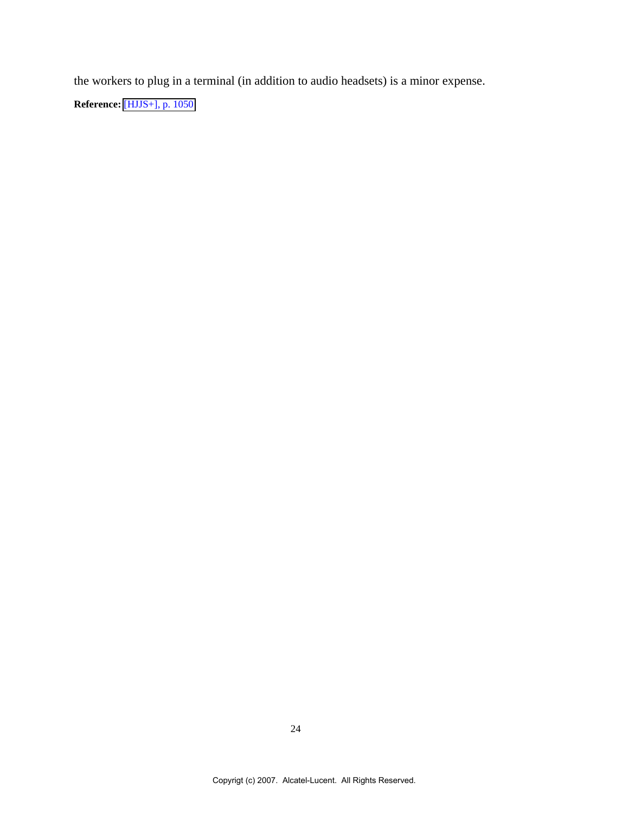the workers to plug in a terminal (in addition to audio headsets) is a minor expense.

**Reference:** [\[HJJS+\], p. 1050](#page-4-0)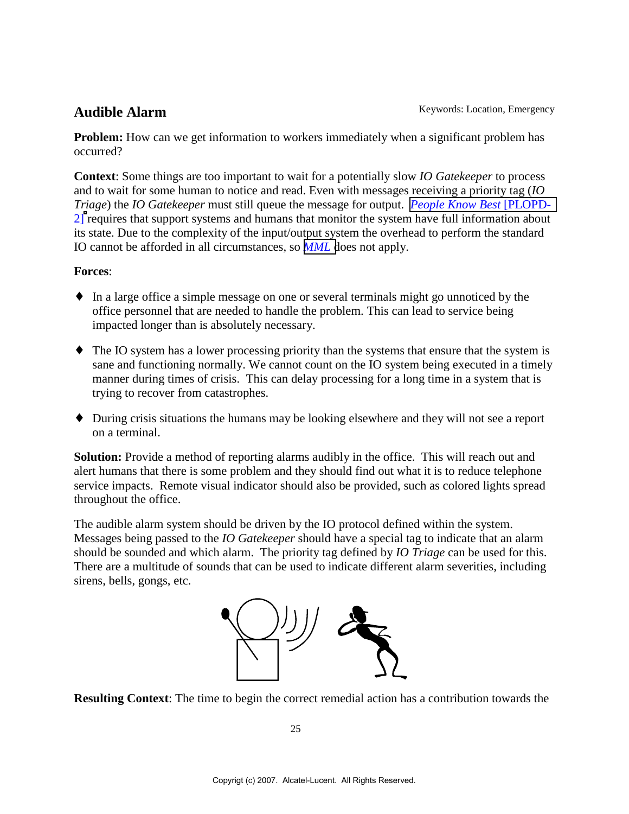**Problem:** How can we get information to workers immediately when a significant problem has occurred?

**Context**: Some things are too important to wait for a potentially slow *IO Gatekeeper* to process and to wait for some human to notice and read. Even with messages receiving a priority tag (*IO Triage*) the *IO Gatekeeper* must still queue the message for output. *[People Know Best](#page-4-0)* [PLOPD-2]requires that support systems and humans that monitor the system have full information about its state. Due to the complexity of the input/output system the overhead to perform the standard IO cannot be afforded in all circumstances, so *[MML](#page-4-0)* does not apply.

#### **Forces**:

- ♦ In a large office a simple message on one or several terminals might go unnoticed by the office personnel that are needed to handle the problem. This can lead to service being impacted longer than is absolutely necessary.
- ♦ The IO system has a lower processing priority than the systems that ensure that the system is sane and functioning normally. We cannot count on the IO system being executed in a timely manner during times of crisis. This can delay processing for a long time in a system that is trying to recover from catastrophes.
- ♦ During crisis situations the humans may be looking elsewhere and they will not see a report on a terminal.

**Solution:** Provide a method of reporting alarms audibly in the office. This will reach out and alert humans that there is some problem and they should find out what it is to reduce telephone service impacts. Remote visual indicator should also be provided, such as colored lights spread throughout the office.

The audible alarm system should be driven by the IO protocol defined within the system. Messages being passed to the *IO Gatekeeper* should have a special tag to indicate that an alarm should be sounded and which alarm. The priority tag defined by *IO Triage* can be used for this. There are a multitude of sounds that can be used to indicate different alarm severities, including sirens, bells, gongs, etc.



**Resulting Context**: The time to begin the correct remedial action has a contribution towards the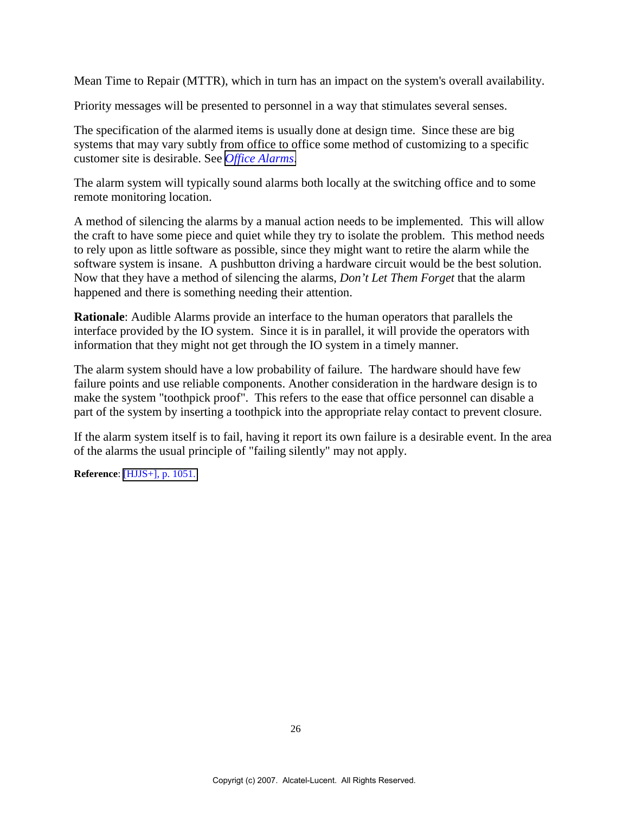Mean Time to Repair (MTTR), which in turn has an impact on the system's overall availability.

Priority messages will be presented to personnel in a way that stimulates several senses.

The specification of the alarmed items is usually done at design time. Since these are big systems that may vary subtly from office to office some method of customizing to a specific customer site is desirable. See *[Office Alarms](#page-28-0)*.

The alarm system will typically sound alarms both locally at the switching office and to some remote monitoring location.

A method of silencing the alarms by a manual action needs to be implemented. This will allow the craft to have some piece and quiet while they try to isolate the problem. This method needs to rely upon as little software as possible, since they might want to retire the alarm while the software system is insane. A pushbutton driving a hardware circuit would be the best solution. Now that they have a method of silencing the alarms, *Don't Let Them Forget* that the alarm happened and there is something needing their attention.

**Rationale**: Audible Alarms provide an interface to the human operators that parallels the interface provided by the IO system. Since it is in parallel, it will provide the operators with information that they might not get through the IO system in a timely manner.

The alarm system should have a low probability of failure. The hardware should have few failure points and use reliable components. Another consideration in the hardware design is to make the system "toothpick proof". This refers to the ease that office personnel can disable a part of the system by inserting a toothpick into the appropriate relay contact to prevent closure.

If the alarm system itself is to fail, having it report its own failure is a desirable event. In the area of the alarms the usual principle of "failing silently" may not apply.

**Reference**: [\[HJJS+\], p. 1051.](#page-8-0)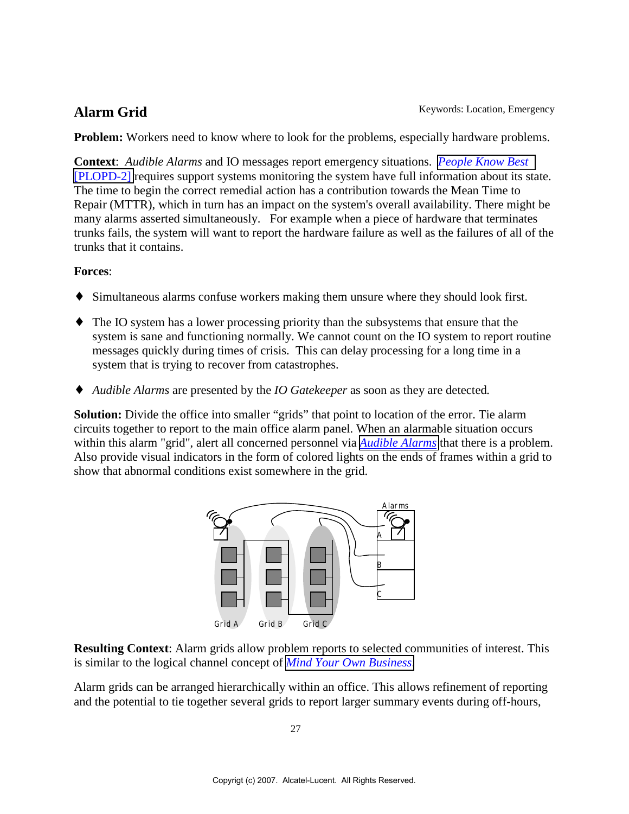<span id="page-26-0"></span>**Alarm Grid** Keywords: Location, Emergency

**Problem:** Workers need to know where to look for the problems, especially hardware problems.

**Context**: *Audible Alarms* and IO messages report emergency situations. *[People Know Best](#page-8-0)* [\[PLOPD-2\]](#page-8-0) requires support systems monitoring the system have full information about its state. The time to begin the correct remedial action has a contribution towards the Mean Time to Repair (MTTR), which in turn has an impact on the system's overall availability. There might be many alarms asserted simultaneously. For example when a piece of hardware that terminates trunks fails, the system will want to report the hardware failure as well as the failures of all of the trunks that it contains.

#### **Forces**:

- ♦ Simultaneous alarms confuse workers making them unsure where they should look first.
- ♦ The IO system has a lower processing priority than the subsystems that ensure that the system is sane and functioning normally. We cannot count on the IO system to report routine messages quickly during times of crisis. This can delay processing for a long time in a system that is trying to recover from catastrophes.
- ♦ *Audible Alarms* are presented by the *IO Gatekeeper* as soon as they are detected*.*

**Solution:** Divide the office into smaller "grids" that point to location of the error. Tie alarm circuits together to report to the main office alarm panel. When an alarmable situation occurs within this alarm "grid", alert all concerned personnel via *[Audible Alarms](#page-8-0)* that there is a problem. Also provide visual indicators in the form of colored lights on the ends of frames within a grid to show that abnormal conditions exist somewhere in the grid.



**Resulting Context**: Alarm grids allow problem reports to selected communities of interest. This is similar to the logical channel concept of *[Mind Your Own Business](#page-8-0)*.

Alarm grids can be arranged hierarchically within an office. This allows refinement of reporting and the potential to tie together several grids to report larger summary events during off-hours,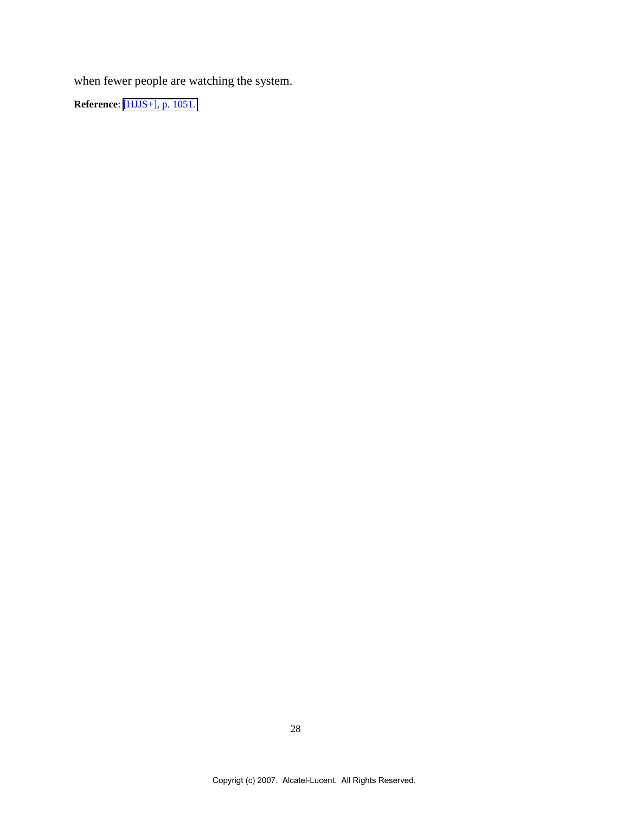when fewer people are watching the system.

**Reference**: [\[HJJS+\], p. 1051.](#page-26-0)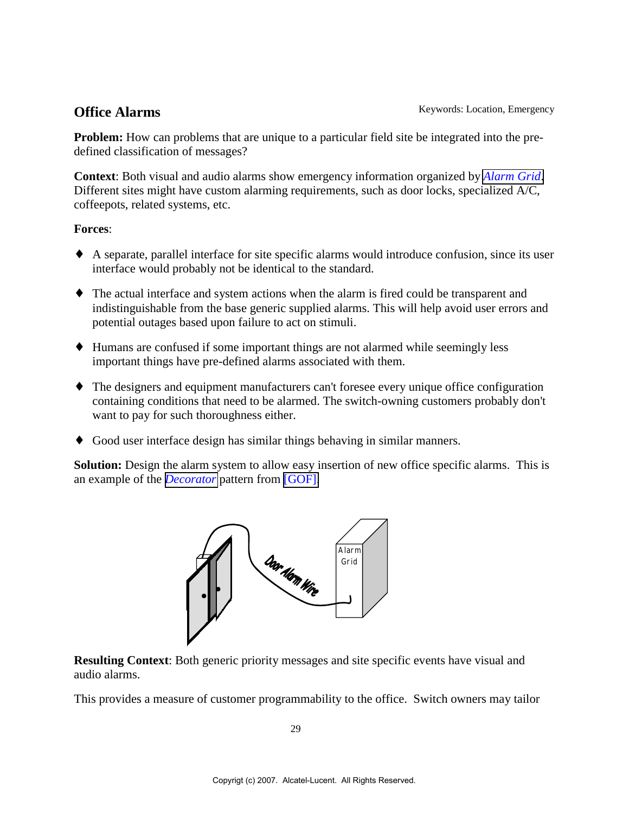<span id="page-28-0"></span>**Office Alarms** Keywords: Location, Emergency

**Problem:** How can problems that are unique to a particular field site be integrated into the predefined classification of messages?

**Context**: Both visual and audio alarms show emergency information organized by *[Alarm Grid](#page-26-0)*. Different sites might have custom alarming requirements, such as door locks, specialized A/C, coffeepots, related systems, etc.

#### **Forces**:

- ♦ A separate, parallel interface for site specific alarms would introduce confusion, since its user interface would probably not be identical to the standard.
- ♦ The actual interface and system actions when the alarm is fired could be transparent and indistinguishable from the base generic supplied alarms. This will help avoid user errors and potential outages based upon failure to act on stimuli.
- ♦ Humans are confused if some important things are not alarmed while seemingly less important things have pre-defined alarms associated with them.
- ♦ The designers and equipment manufacturers can't foresee every unique office configuration containing conditions that need to be alarmed. The switch-owning customers probably don't want to pay for such thoroughness either.
- ♦ Good user interface design has similar things behaving in similar manners.

**Solution:** Design the alarm system to allow easy insertion of new office specific alarms. This is an example of the *[Decorator](#page-34-0)* pattern from [\[GOF\].](#page-34-0)



**Resulting Context**: Both generic priority messages and site specific events have visual and audio alarms.

This provides a measure of customer programmability to the office. Switch owners may tailor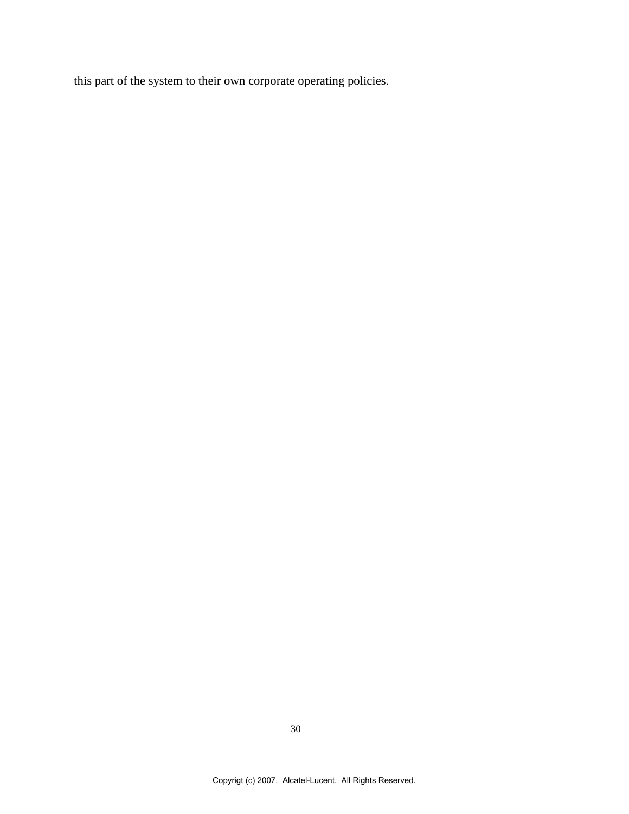this part of the system to their own corporate operating policies.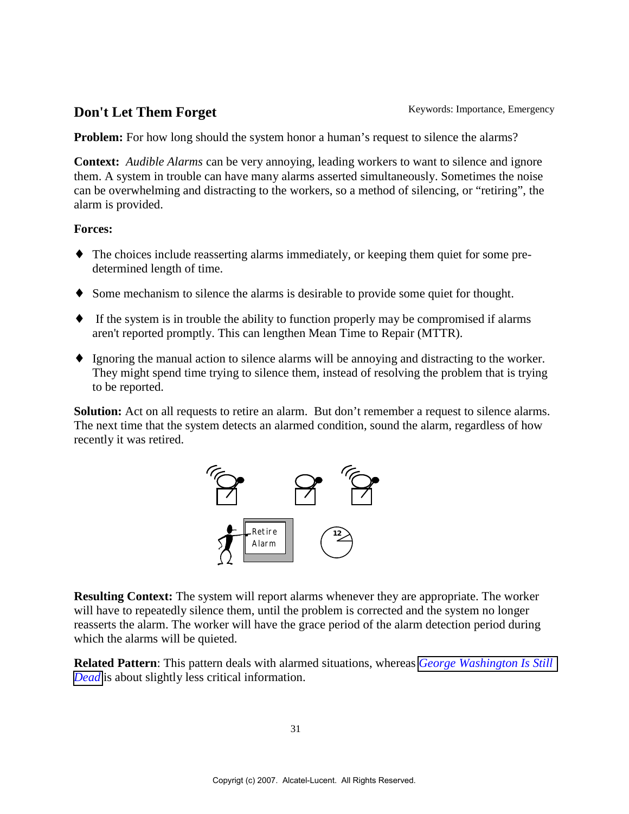## <span id="page-30-0"></span>**Don't Let Them Forget** Keywords: Importance, Emergency

**Problem:** For how long should the system honor a human's request to silence the alarms?

**Context:** *Audible Alarms* can be very annoying, leading workers to want to silence and ignore them. A system in trouble can have many alarms asserted simultaneously. Sometimes the noise can be overwhelming and distracting to the workers, so a method of silencing, or "retiring", the alarm is provided.

#### **Forces:**

- ♦ The choices include reasserting alarms immediately, or keeping them quiet for some predetermined length of time.
- ♦ Some mechanism to silence the alarms is desirable to provide some quiet for thought.
- ♦ If the system is in trouble the ability to function properly may be compromised if alarms aren't reported promptly. This can lengthen Mean Time to Repair (MTTR).
- ♦ Ignoring the manual action to silence alarms will be annoying and distracting to the worker. They might spend time trying to silence them, instead of resolving the problem that is trying to be reported.

**Solution:** Act on all requests to retire an alarm. But don't remember a request to silence alarms. The next time that the system detects an alarmed condition, sound the alarm, regardless of how recently it was retired.



**Resulting Context:** The system will report alarms whenever they are appropriate. The worker will have to repeatedly silence them, until the problem is corrected and the system no longer reasserts the alarm. The worker will have the grace period of the alarm detection period during which the alarms will be quieted.

**Related Pattern**: This pattern deals with alarmed situations, whereas *[George Washington Is Still](#page-14-0) [Dead](#page-14-0)* is about slightly less critical information.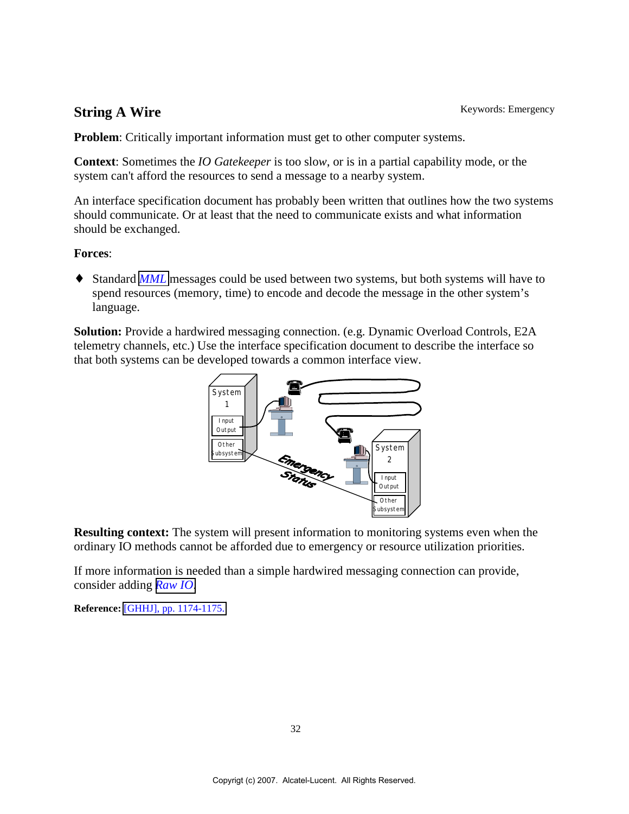## <span id="page-31-0"></span>**String A Wire** Keywords: Emergency

**Problem**: Critically important information must get to other computer systems.

**Context**: Sometimes the *IO Gatekeeper* is too slo*w*, or is in a partial capability mode, or the system can't afford the resources to send a message to a nearby system.

An interface specification document has probably been written that outlines how the two systems should communicate. Or at least that the need to communicate exists and what information should be exchanged.

### **Forces**:

♦ Standard *[MML](#page-4-0)* messages could be used between two systems, but both systems will have to spend resources (memory, time) to encode and decode the message in the other system's language.

**Solution:** Provide a hardwired messaging connection. (e.g. Dynamic Overload Controls, E2A telemetry channels, etc.) Use the interface specification document to describe the interface so that both systems can be developed towards a common interface view.



**Resulting context:** The system will present information to monitoring systems even when the ordinary IO methods cannot be afforded due to emergency or resource utilization priorities.

If more information is needed than a simple hardwired messaging connection can provide, consider adding *[Raw IO](#page-32-0)*.

**Reference:** [\[GHHJ\], pp. 1174-1175.](#page-34-0)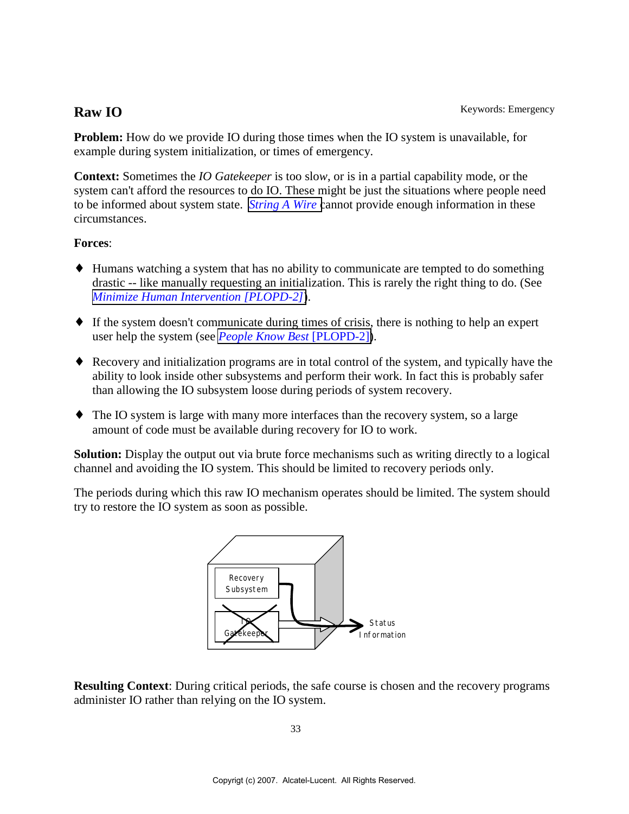<span id="page-32-0"></span>**Problem:** How do we provide IO during those times when the IO system is unavailable, for example during system initialization, or times of emergency.

**Context:** Sometimes the *IO Gatekeeper* is too slo*w*, or is in a partial capability mode, or the system can't afford the resources to do IO. These might be just the situations where people need to be informed about system state. *[String A Wire](#page-31-0)* cannot provide enough information in these circumstances.

### **Forces**:

- ♦ Humans watching a system that has no ability to communicate are tempted to do something drastic -- like manually requesting an initialization. This is rarely the right thing to do. (See *[Minimize Human Intervention \[PLOPD-2\]](#page-26-0)*).
- ♦ If the system doesn't communicate during times of crisis, there is nothing to help an expert user help the system (see *[People Know Best](#page-26-0)* [PLOPD-2]).
- ♦ Recovery and initialization programs are in total control of the system, and typically have the ability to look inside other subsystems and perform their work. In fact this is probably safer than allowing the IO subsystem loose during periods of system recovery.
- ♦ The IO system is large with many more interfaces than the recovery system, so a large amount of code must be available during recovery for IO to work.

**Solution:** Display the output out via brute force mechanisms such as writing directly to a logical channel and avoiding the IO system. This should be limited to recovery periods only.

The periods during which this raw IO mechanism operates should be limited. The system should try to restore the IO system as soon as possible.



**Resulting Context**: During critical periods, the safe course is chosen and the recovery programs administer IO rather than relying on the IO system.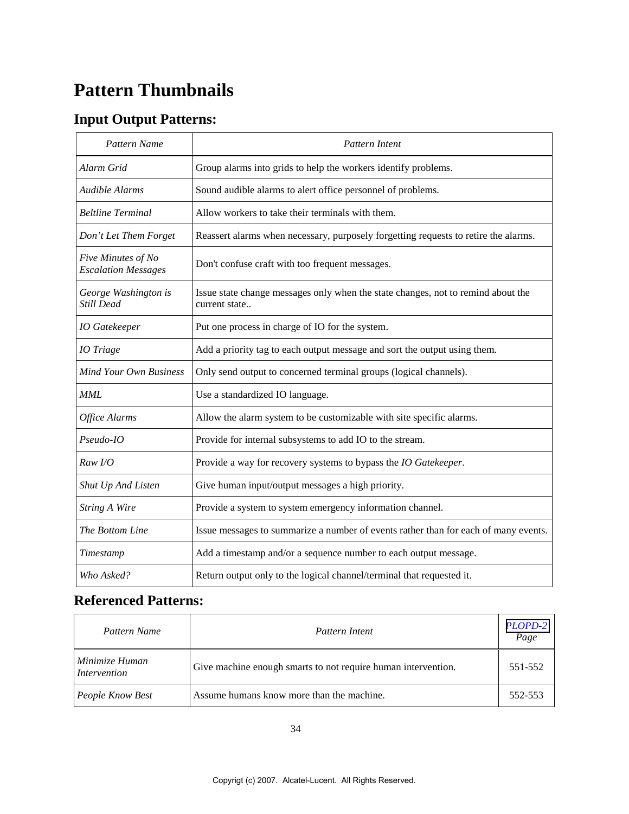# **Pattern Thumbnails**

# **Input Output Patterns:**

| Pattern Name                                     | Pattern Intent                                                                                    |
|--------------------------------------------------|---------------------------------------------------------------------------------------------------|
| Alarm Grid                                       | Group alarms into grids to help the workers identify problems.                                    |
| Audible Alarms                                   | Sound audible alarms to alert office personnel of problems.                                       |
| <b>Beltline Terminal</b>                         | Allow workers to take their terminals with them.                                                  |
| Don't Let Them Forget                            | Reassert alarms when necessary, purposely forgetting requests to retire the alarms.               |
| Five Minutes of No<br><b>Escalation Messages</b> | Don't confuse craft with too frequent messages.                                                   |
| George Washington is<br>Still Dead               | Issue state change messages only when the state changes, not to remind about the<br>current state |
| <b>IO</b> Gatekeeper                             | Put one process in charge of IO for the system.                                                   |
| <b>IO</b> Triage                                 | Add a priority tag to each output message and sort the output using them.                         |
| <b>Mind Your Own Business</b>                    | Only send output to concerned terminal groups (logical channels).                                 |
| MML                                              | Use a standardized IO language.                                                                   |
| Office Alarms                                    | Allow the alarm system to be customizable with site specific alarms.                              |
| Pseudo-IO                                        | Provide for internal subsystems to add IO to the stream.                                          |
| Raw I/O                                          | Provide a way for recovery systems to bypass the IO Gatekeeper.                                   |
| Shut Up And Listen                               | Give human input/output messages a high priority.                                                 |
| <b>String A Wire</b>                             | Provide a system to system emergency information channel.                                         |
| The Bottom Line                                  | Issue messages to summarize a number of events rather than for each of many events.               |
| Timestamp                                        | Add a timestamp and/or a sequence number to each output message.                                  |
| Who Asked?                                       | Return output only to the logical channel/terminal that requested it.                             |

## **Referenced Patterns:**

| Pattern Name                   | Pattern Intent                                                | PLOPD-2<br>Page |
|--------------------------------|---------------------------------------------------------------|-----------------|
| Minimize Human<br>Intervention | Give machine enough smarts to not require human intervention. | 551-552         |
| People Know Best               | Assume humans know more than the machine.                     | 552-553         |